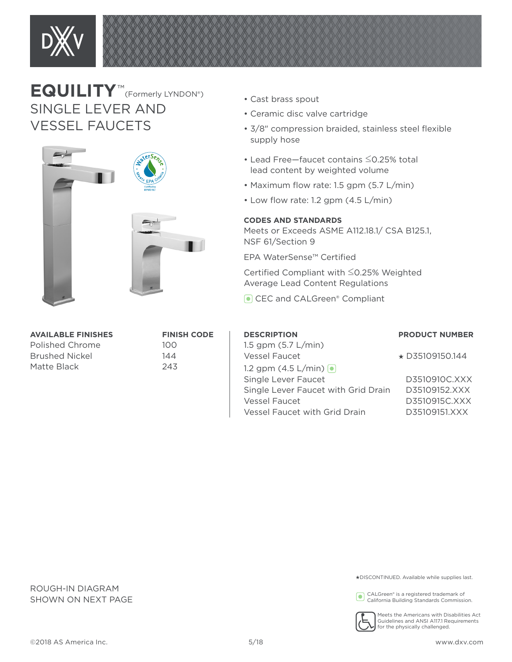

## **EQUILITY**™(Formerly LYNDON®) SINGLE LEVER AND VESSEL FAUCETS



| <b>AVAILABLE FINISHES</b> | <b>FINI</b> |
|---------------------------|-------------|
| Polished Chrome           | 100         |
| <b>Brushed Nickel</b>     | 144         |
| Matte Black               | 243         |

# **FINISH CODE**

- Cast brass spout
- Ceramic disc valve cartridge
- 3/8" compression braided, stainless steel flexible supply hose
- Lead Free—faucet contains ≤0.25% total lead content by weighted volume
- Maximum flow rate: 1.5 gpm (5.7 L/min)
- Low flow rate: 1.2 gpm (4.5 L/min)

#### **CODES AND STANDARDS**

Meets or Exceeds ASME A112.18.1/ CSA B125.1, NSF 61/Section 9

EPA WaterSense™ Certified

Certified Compliant with ≤0.25% Weighted Average Lead Content Regulations

CEC and CALGreen<sup>®</sup> Compliant

| <b>DESCRIPTION</b>                     | <b>PRODUCT NUMBER</b> |
|----------------------------------------|-----------------------|
| 1.5 gpm $(5.7 L/min)$<br>Vessel Faucet | $\star$ D35109150.144 |
| 1.2 gpm $(4.5 \text{ L/min})$          |                       |
| Single Lever Faucet                    | D3510910C.XXX         |
| Single Lever Faucet with Grid Drain    | D35109152.XXX         |
| Vessel Faucet                          | D3510915C.XXX         |
| Vessel Faucet with Grid Drain          | D35109151.XXX         |
|                                        |                       |

ROUGH-IN DIAGRAM SHOWN ON NEXT PAGE

#### ★DISCONTINUED. Available while supplies last.

CALGreen® is a registered trademark of California Building Standards Commission.



Meets the Americans with Disabilities Act Guidelines and ANSI A117.1 Requirements for the physically challenged.